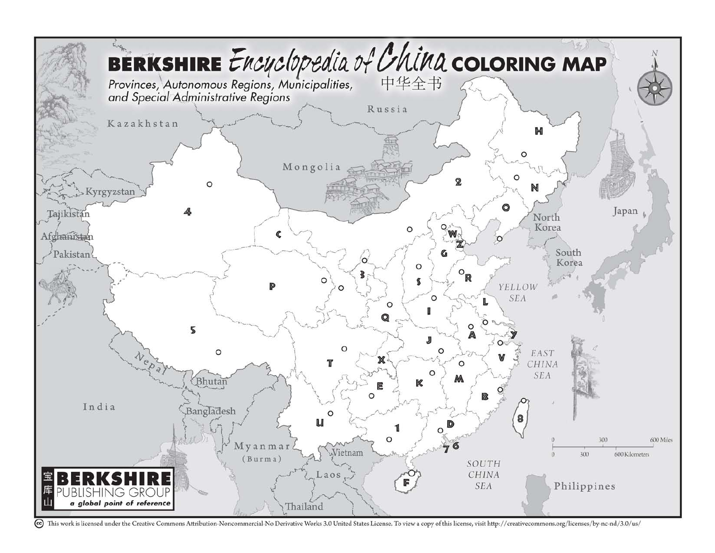

<sup>(</sup>cc) This work is licensed under the Creative Commons Attribution-Noncommercial-No Derivative Works 3.0 United States License. To view a copy of this license, visit http://creativecommons.org/licenses/by-nc-nd/3.0/us/